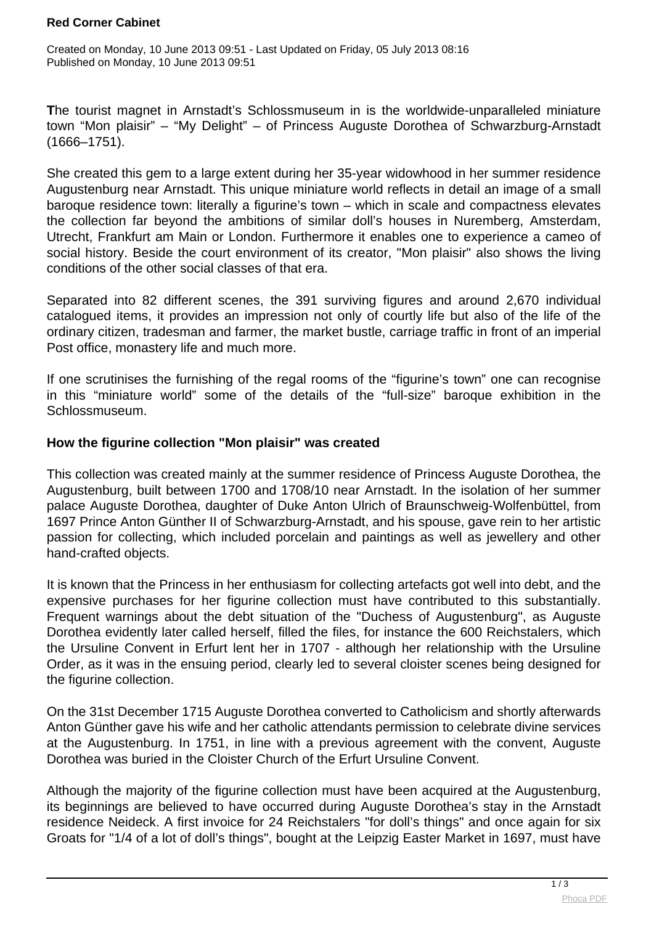### **Red Corner Cabinet**

Created on Monday, 10 June 2013 09:51 - Last Updated on Friday, 05 July 2013 08:16 Published on Monday, 10 June 2013 09:51

**T**he tourist magnet in Arnstadt's Schlossmuseum in is the worldwide-unparalleled miniature town "Mon plaisir" – "My Delight" – of Princess Auguste Dorothea of Schwarzburg-Arnstadt (1666–1751).

She created this gem to a large extent during her 35-year widowhood in her summer residence Augustenburg near Arnstadt. This unique miniature world reflects in detail an image of a small baroque residence town: literally a figurine's town – which in scale and compactness elevates the collection far beyond the ambitions of similar doll's houses in Nuremberg, Amsterdam, Utrecht, Frankfurt am Main or London. Furthermore it enables one to experience a cameo of social history. Beside the court environment of its creator, "Mon plaisir" also shows the living conditions of the other social classes of that era.

Separated into 82 different scenes, the 391 surviving figures and around 2,670 individual catalogued items, it provides an impression not only of courtly life but also of the life of the ordinary citizen, tradesman and farmer, the market bustle, carriage traffic in front of an imperial Post office, monastery life and much more.

If one scrutinises the furnishing of the regal rooms of the "figurine's town" one can recognise in this "miniature world" some of the details of the "full-size" baroque exhibition in the Schlossmuseum.

## **How the figurine collection "Mon plaisir" was created**

This collection was created mainly at the summer residence of Princess Auguste Dorothea, the Augustenburg, built between 1700 and 1708/10 near Arnstadt. In the isolation of her summer palace Auguste Dorothea, daughter of Duke Anton Ulrich of Braunschweig-Wolfenbüttel, from 1697 Prince Anton Günther II of Schwarzburg-Arnstadt, and his spouse, gave rein to her artistic passion for collecting, which included porcelain and paintings as well as jewellery and other hand-crafted objects.

It is known that the Princess in her enthusiasm for collecting artefacts got well into debt, and the expensive purchases for her figurine collection must have contributed to this substantially. Frequent warnings about the debt situation of the "Duchess of Augustenburg", as Auguste Dorothea evidently later called herself, filled the files, for instance the 600 Reichstalers, which the Ursuline Convent in Erfurt lent her in 1707 - although her relationship with the Ursuline Order, as it was in the ensuing period, clearly led to several cloister scenes being designed for the figurine collection.

On the 31st December 1715 Auguste Dorothea converted to Catholicism and shortly afterwards Anton Günther gave his wife and her catholic attendants permission to celebrate divine services at the Augustenburg. In 1751, in line with a previous agreement with the convent, Auguste Dorothea was buried in the Cloister Church of the Erfurt Ursuline Convent.

Although the majority of the figurine collection must have been acquired at the Augustenburg. its beginnings are believed to have occurred during Auguste Dorothea's stay in the Arnstadt residence Neideck. A first invoice for 24 Reichstalers "for doll's things" and once again for six Groats for "1/4 of a lot of doll's things", bought at the Leipzig Easter Market in 1697, must have

 $\frac{1}{3}$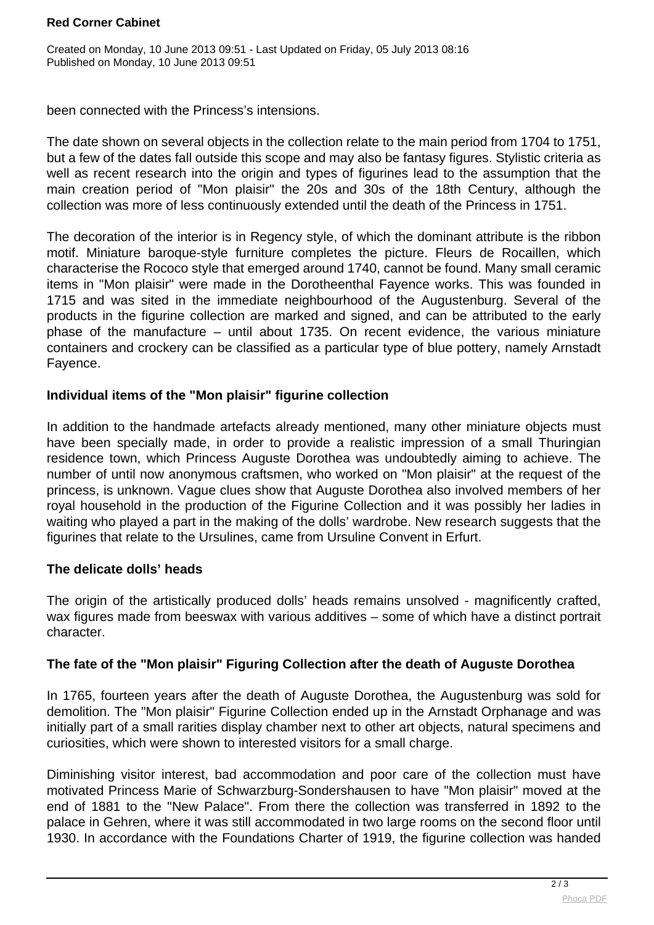### **Red Corner Cabinet**

Created on Monday, 10 June 2013 09:51 - Last Updated on Friday, 05 July 2013 08:16 Published on Monday, 10 June 2013 09:51

been connected with the Princess's intensions.

The date shown on several objects in the collection relate to the main period from 1704 to 1751, but a few of the dates fall outside this scope and may also be fantasy figures. Stylistic criteria as well as recent research into the origin and types of figurines lead to the assumption that the main creation period of "Mon plaisir" the 20s and 30s of the 18th Century, although the collection was more of less continuously extended until the death of the Princess in 1751.

The decoration of the interior is in Regency style, of which the dominant attribute is the ribbon motif. Miniature baroque-style furniture completes the picture. Fleurs de Rocaillen, which characterise the Rococo style that emerged around 1740, cannot be found. Many small ceramic items in "Mon plaisir" were made in the Dorotheenthal Fayence works. This was founded in 1715 and was sited in the immediate neighbourhood of the Augustenburg. Several of the products in the figurine collection are marked and signed, and can be attributed to the early phase of the manufacture – until about 1735. On recent evidence, the various miniature containers and crockery can be classified as a particular type of blue pottery, namely Arnstadt Fayence.

# **Individual items of the "Mon plaisir" figurine collection**

In addition to the handmade artefacts already mentioned, many other miniature objects must have been specially made, in order to provide a realistic impression of a small Thuringian residence town, which Princess Auguste Dorothea was undoubtedly aiming to achieve. The number of until now anonymous craftsmen, who worked on "Mon plaisir" at the request of the princess, is unknown. Vague clues show that Auguste Dorothea also involved members of her royal household in the production of the Figurine Collection and it was possibly her ladies in waiting who played a part in the making of the dolls' wardrobe. New research suggests that the figurines that relate to the Ursulines, came from Ursuline Convent in Erfurt.

## **The delicate dolls' heads**

The origin of the artistically produced dolls' heads remains unsolved - magnificently crafted, wax figures made from beeswax with various additives – some of which have a distinct portrait character.

## **The fate of the "Mon plaisir" Figuring Collection after the death of Auguste Dorothea**

In 1765, fourteen years after the death of Auguste Dorothea, the Augustenburg was sold for demolition. The "Mon plaisir" Figurine Collection ended up in the Arnstadt Orphanage and was initially part of a small rarities display chamber next to other art objects, natural specimens and curiosities, which were shown to interested visitors for a small charge.

Diminishing visitor interest, bad accommodation and poor care of the collection must have motivated Princess Marie of Schwarzburg-Sondershausen to have "Mon plaisir" moved at the end of 1881 to the "New Palace". From there the collection was transferred in 1892 to the palace in Gehren, where it was still accommodated in two large rooms on the second floor until 1930. In accordance with the Foundations Charter of 1919, the figurine collection was handed